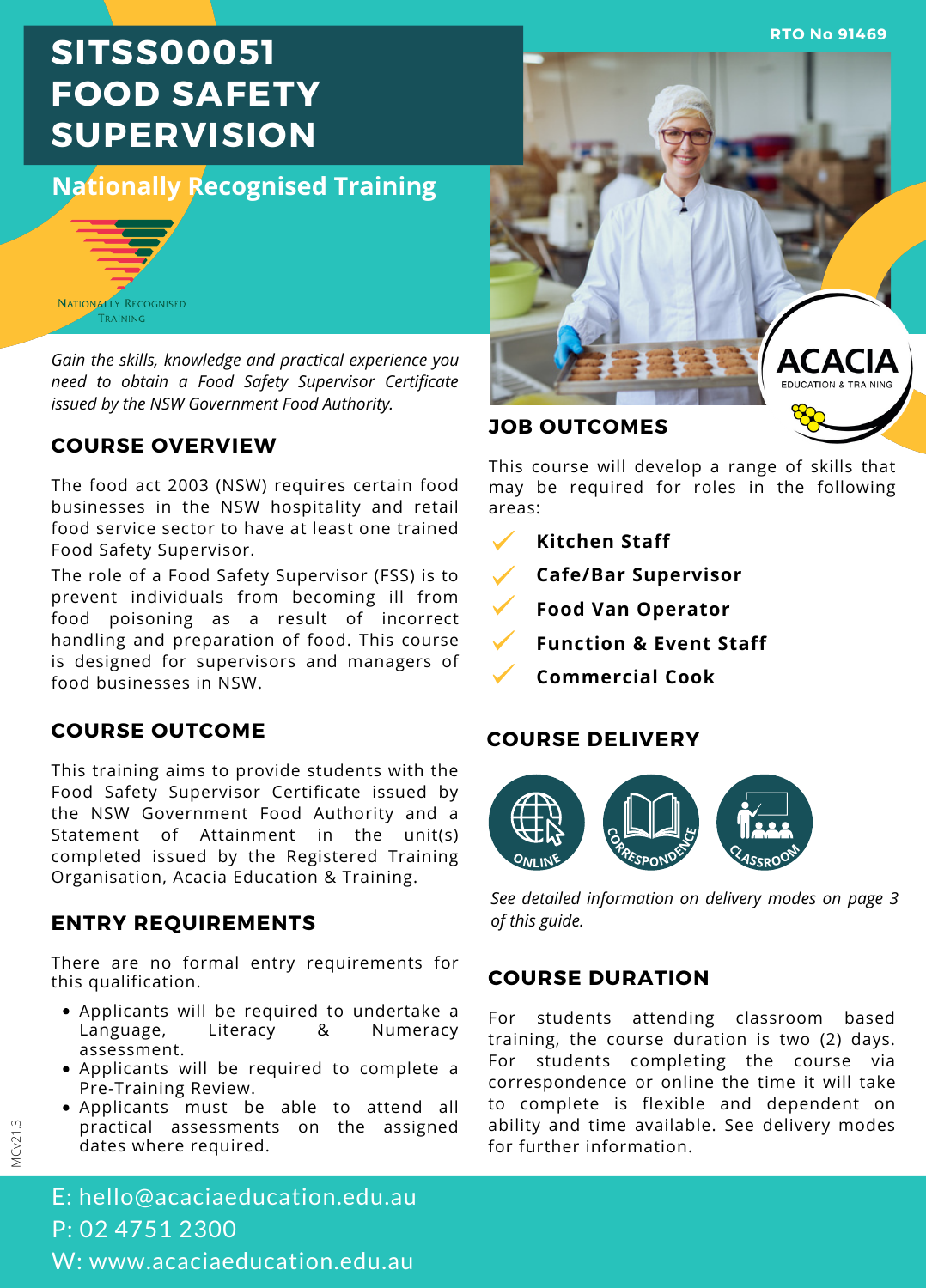**RTO No 91469**

# **SITSS00051 FOOD SAFETY SUPERVISION**

# **Nationally Recognised Training**



*Gain the skills, knowledge and practical experience you need to obtain a Food Safety Supervisor Certificate issued by the NSW Government Food Authority.*

#### **COURSE OVERVIEW**

The food act 2003 (NSW) requires certain food businesses in the NSW hospitality and retail food service sector to have at least one trained Food Safety Supervisor.

The role of a Food Safety Supervisor (FSS) is to prevent individuals from becoming ill from food poisoning as a result of incorrect handling and preparation of food. This course is designed for supervisors and managers of food businesses in NSW.

### **COURSE OUTCOME**

This training aims to provide students with the Food Safety Supervisor Certificate issued by the NSW Government Food Authority and a Statement of Attainment in the unit(s) completed issued by the Registered Training Organisation, Acacia Education & Training.

### **ENTRY REQUIREMENTS** of this guide.

There are no formal entry requirements for this qualification.

- Applicants will be required to undertake a Language, Literacy & Numeracy assessment.
- Applicants will be required to complete a Pre-Training Review.
- Applicants must be able to attend all practical assessments on the assigned dates where required.



This course will develop a range of skills that may be required for roles in the following areas:

- **Kitchen Staff**
- **Cafe/Bar Supervisor**
- **Food Van Operator**
- **Function & Event Staff**
	- **Commercial Cook**

#### **COURSE DELIVERY**



*See detailed information on delivery modes on page 3*

### **COURSE DURATION**

For students attending classroom based training, the course duration is two (2) days. For students completing the course via correspondence or online the time it will take to complete is flexible and dependent on ability and time available. See delivery modes for further information.

MCv21.3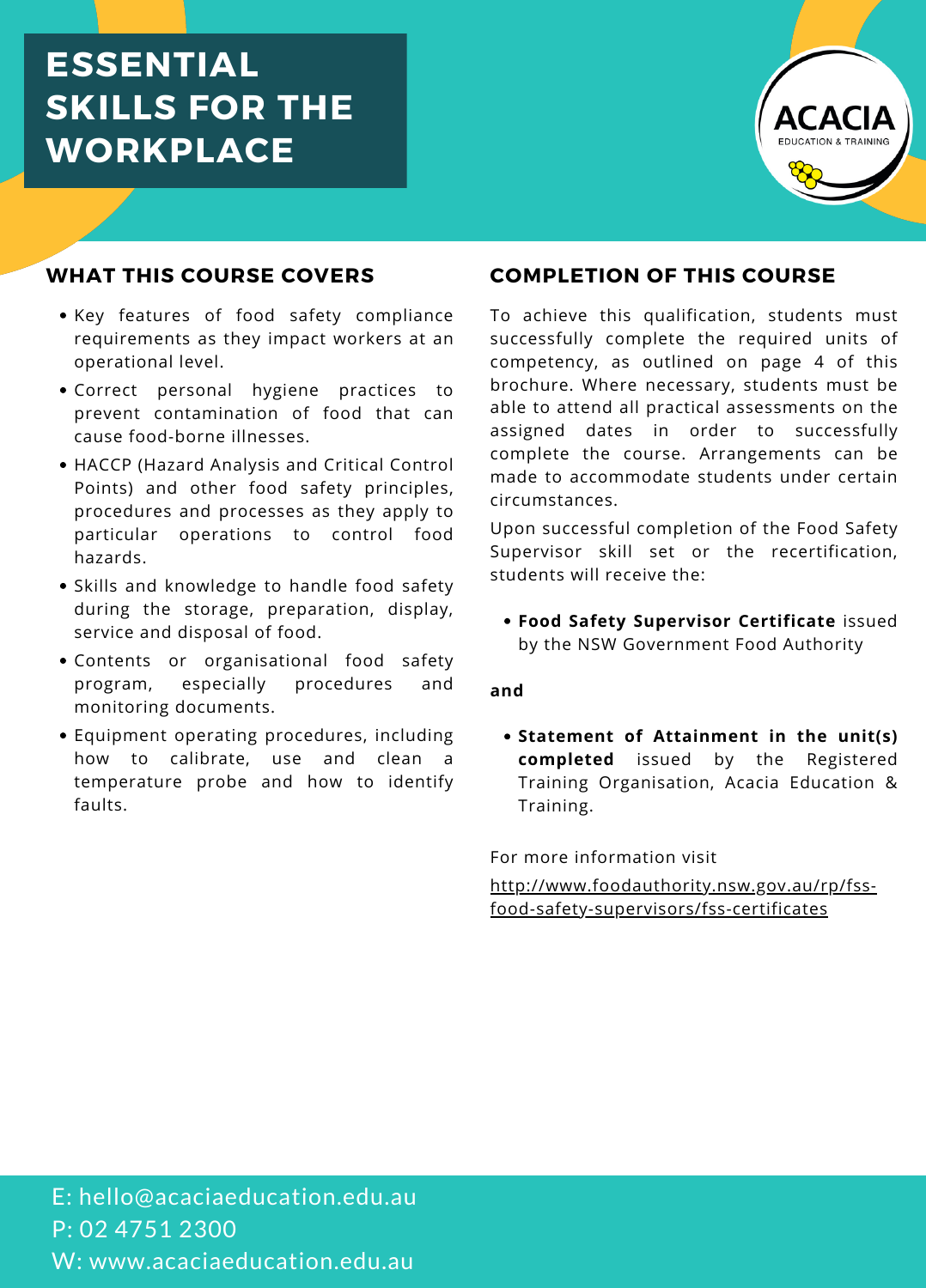# **ESSENTIAL SKILLS FOR THE WORKPLACE**



#### **WHAT THIS COURSE COVERS**

- Key features of food safety compliance requirements as they impact workers at an operational level.
- Correct personal hygiene practices to prevent contamination of food that can cause food-borne illnesses.
- HACCP (Hazard Analysis and Critical Control Points) and other food safety principles, procedures and processes as they apply to particular operations to control food hazards.
- Skills and knowledge to handle food safety during the storage, preparation, display, service and disposal of food.
- Contents or organisational food safety program, especially procedures and monitoring documents.
- Equipment operating procedures, including how to calibrate, use and clean a temperature probe and how to identify faults.

#### **COMPLETION OF THIS COURSE**

To achieve this qualification, students must successfully complete the required units of competency, as outlined on page 4 of this brochure. Where necessary, students must be able to attend all practical assessments on the assigned dates in order to successfully complete the course. Arrangements can be made to accommodate students under certain circumstances.

Upon successful completion of the Food Safety Supervisor skill set or the recertification, students will receive the:

**Food Safety Supervisor Certificate** issued by the NSW Government Food Authority

#### **and**

**Statement of Attainment in the unit(s) completed** issued by the Registered Training Organisation, Acacia Education & Training.

For more information visit

[http://www.foodauthority.nsw.gov.au/rp/fss](http://www.foodauthority.nsw.gov.au/rp/fss-food-safety-supervisors/fss-certificates) food-safety-supervisors/fss-certificates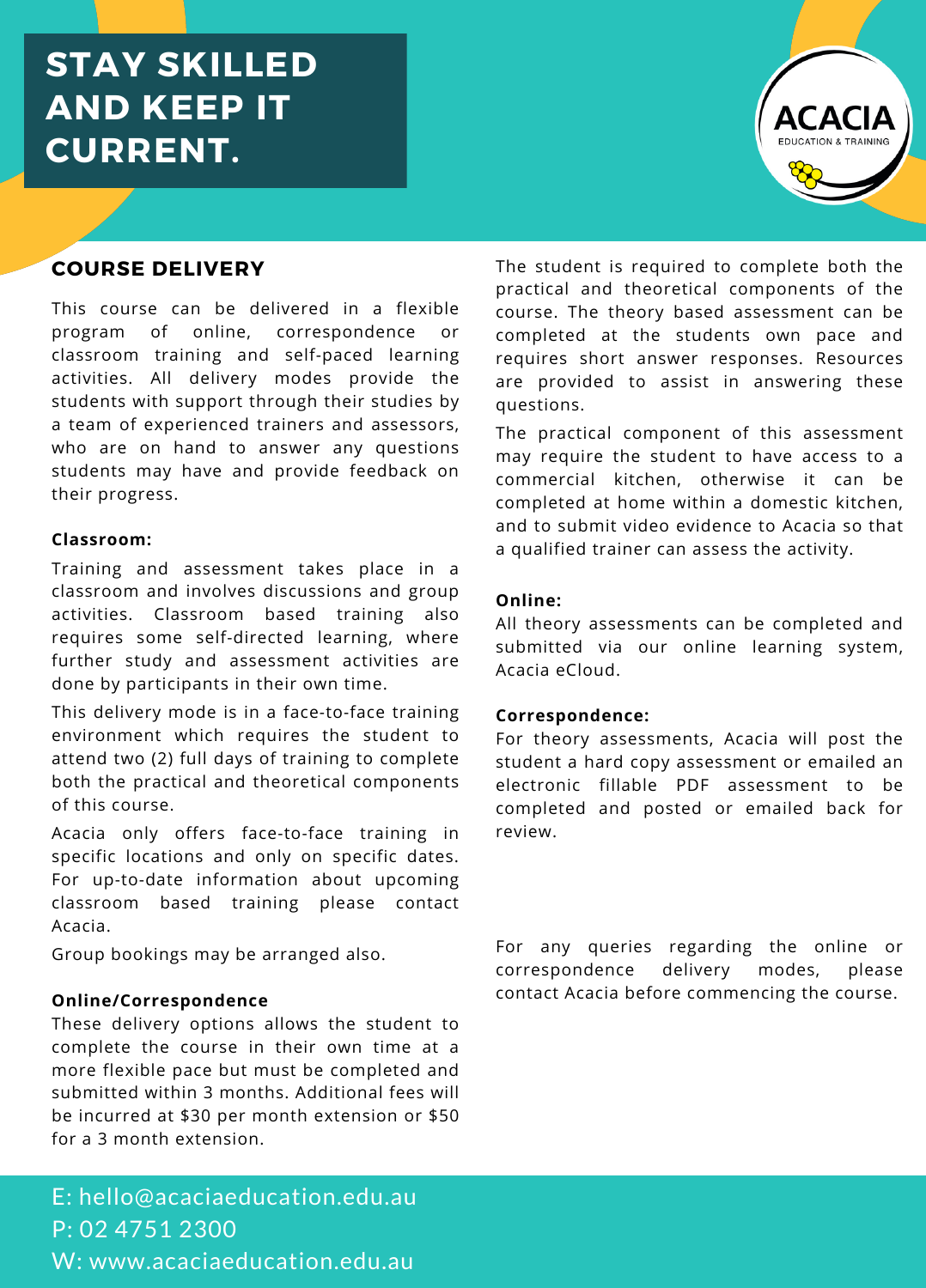# **STAY SKILLED AND KEEP IT CURRENT.**



### **COURSE DELIVERY**

This course can be delivered in a flexible program of online, correspondence or classroom training and self-paced learning activities. All delivery modes provide the students with support through their studies by a team of experienced trainers and assessors, who are on hand to answer any questions students may have and provide feedback on their progress.

#### **Classroom:**

Training and assessment takes place in a classroom and involves discussions and group activities. Classroom based training also requires some self-directed learning, where further study and assessment activities are done by participants in their own time.

This delivery mode is in a face-to-face training environment which requires the student to attend two (2) full days of training to complete both the practical and theoretical components of this course.

Acacia only offers face-to-face training in specific locations and only on specific dates. For up-to-date information about upcoming classroom based training please contact Acacia.

Group bookings may be arranged also.

#### **Online/Correspondence**

These delivery options allows the student to complete the course in their own time at a more flexible pace but must be completed and submitted within 3 months. Additional fees will be incurred at \$30 per month extension or \$50 for a 3 month extension.

The student is required to complete both the practical and theoretical components of the course. The theory based assessment can be completed at the students own pace and requires short answer responses. Resources are provided to assist in answering these questions.

The practical component of this assessment may require the student to have access to a commercial kitchen, otherwise it can be completed at home within a domestic kitchen, and to submit video evidence to Acacia so that a qualified trainer can assess the activity.

#### **Online:**

All theory assessments can be completed and submitted via our online learning system, Acacia eCloud.

#### **Correspondence:**

For theory assessments, Acacia will post the student a hard copy assessment or emailed an electronic fillable PDF assessment to be completed and posted or emailed back for review.

For any queries regarding the online or correspondence delivery modes, please contact Acacia before commencing the course.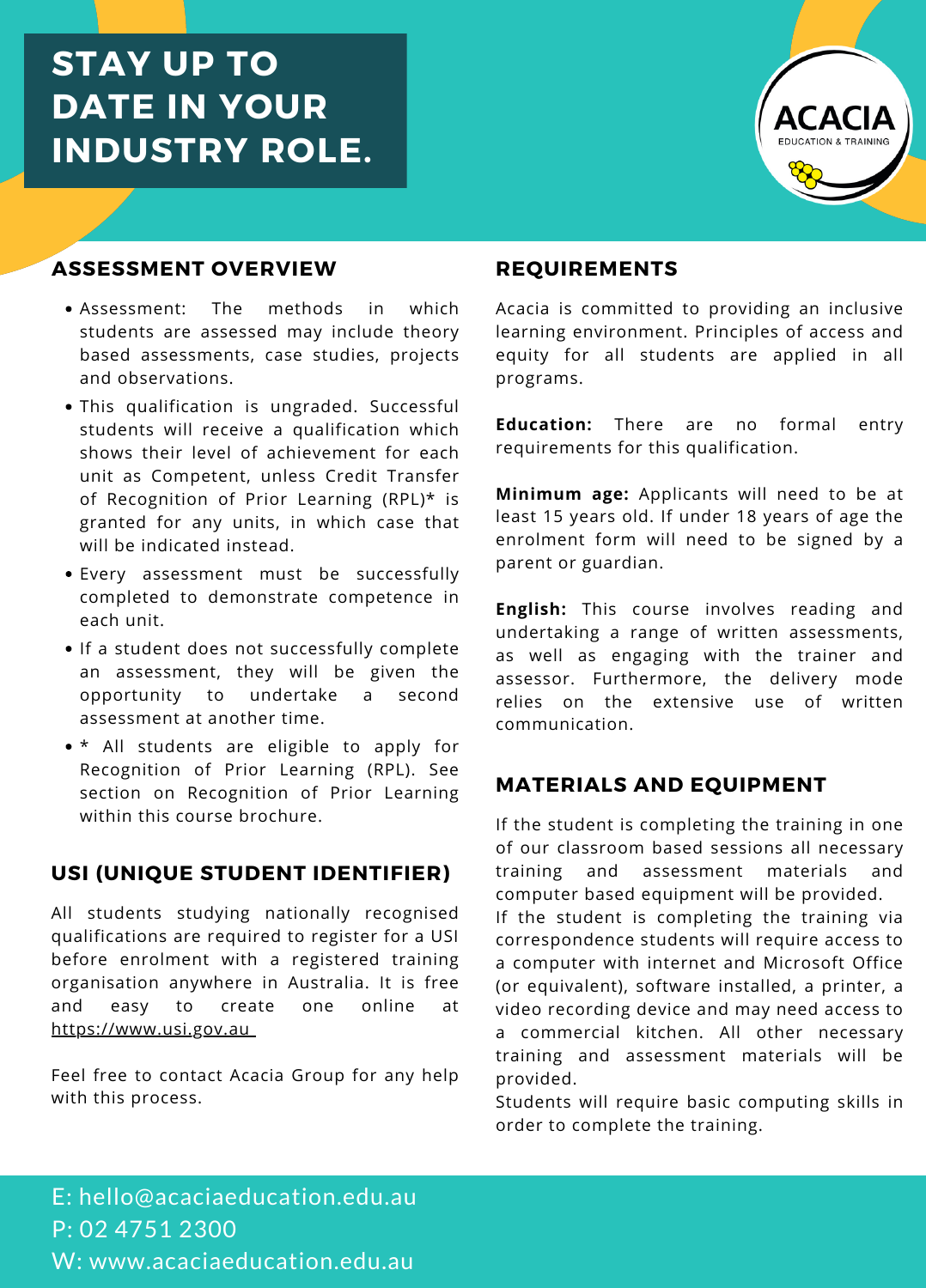# **STAY UP TO DATE IN YOUR INDUSTRY ROLE.**



### **ASSESSMENT OVERVIEW**

- Assessment: The methods in which students are assessed may include theory based assessments, case studies, projects and observations.
- This qualification is ungraded. Successful students will receive a qualification which shows their level of achievement for each unit as Competent, unless Credit Transfer of Recognition of Prior Learning (RPL)\* is granted for any units, in which case that will be indicated instead.
- Every assessment must be successfully completed to demonstrate competence in each unit.
- If a student does not successfully complete an assessment, they will be given the opportunity to undertake a second assessment at another time.
- \* All students are eligible to apply for Recognition of Prior Learning (RPL). See section on Recognition of Prior Learning within this course brochure

#### **USI (UNIQUE STUDENT IDENTIFIER)**

All students studying nationally recognised qualifications are required to register for a USI before enrolment with a registered training organisation anywhere in Australia. It is free and easy to create one online at [https://www.usi.gov.au](https://www.usi.gov.au/)

Feel free to contact Acacia Group for any help with this process.

#### **REQUIREMENTS**

Acacia is committed to providing an inclusive learning environment. Principles of access and equity for all students are applied in all programs.

**Education:** There are no formal entry requirements for this qualification.

**Minimum age:** Applicants will need to be at least 15 years old. If under 18 years of age the enrolment form will need to be signed by a parent or guardian.

**English:** This course involves reading and undertaking a range of written assessments, as well as engaging with the trainer and assessor. Furthermore, the delivery mode relies on the extensive use of written communication.

### **MATERIALS AND EQUIPMENT**

If the student is completing the training in one of our classroom based sessions all necessary training and assessment materials and computer based equipment will be provided. If the student is completing the training via correspondence students will require access to a computer with internet and Microsoft Office (or equivalent), software installed, a printer, a video recording device and may need access to a commercial kitchen. All other necessary training and assessment materials will be

provided. Students will require basic computing skills in order to complete the training.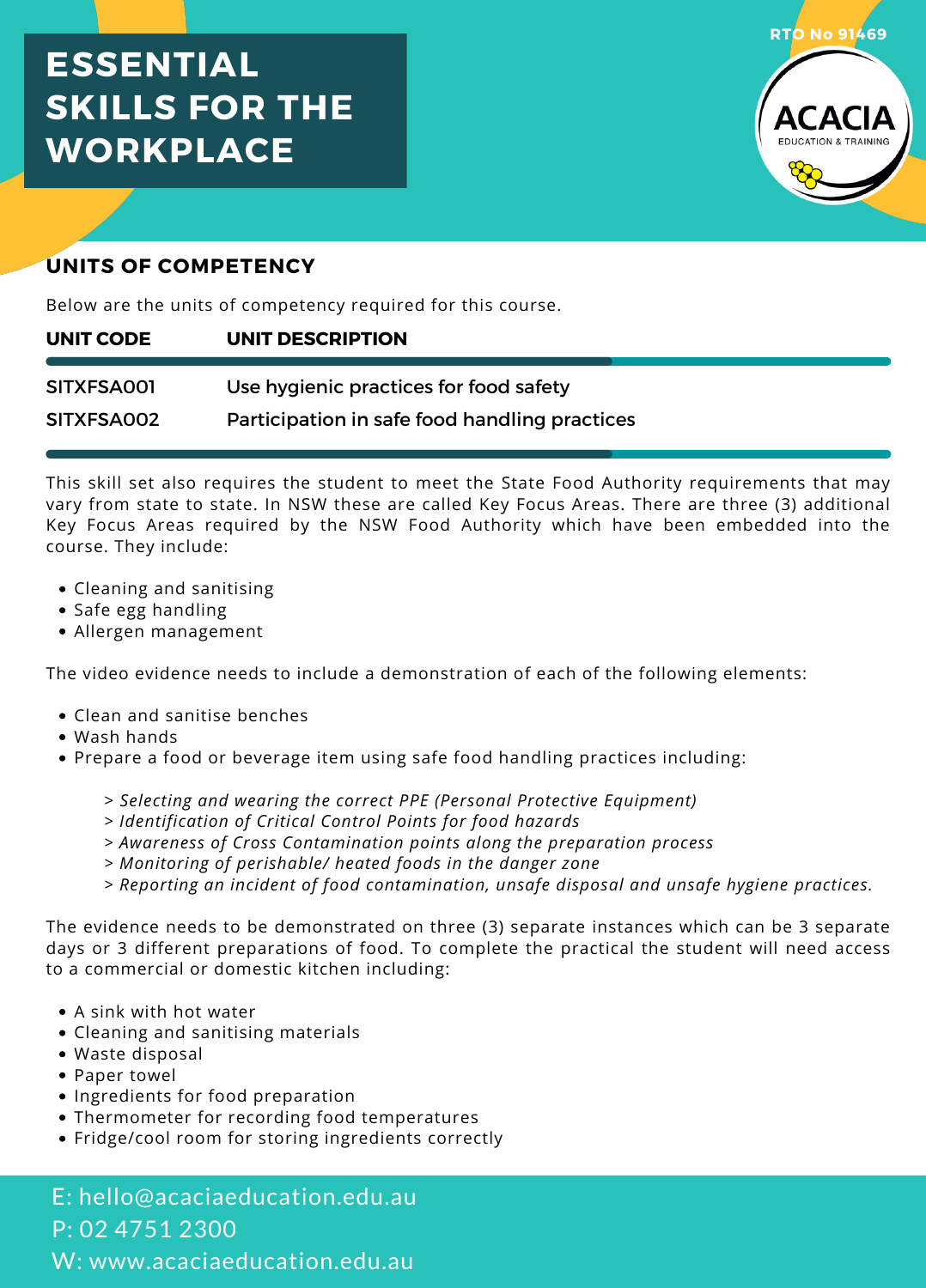# **ESSENTIAL SKILLS FOR THE WORKPLACE**



### **UNITS OF COMPETENCY**

Below are the units of competency required for this course.

#### **UNIT DESCRIPTION UNIT CODE**

Use hygienic practices for food safety SITXFSA001

Participation in safe food handling practices SITXFSA002

This skill set also requires the student to meet the State Food Authority requirements that may vary from state to state. In NSW these are called Key Focus Areas. There are three (3) additional Key Focus Areas required by the NSW Food Authority which have been embedded into the course. They include:

- Cleaning and sanitising
- Safe egg handling
- Allergen management

The video evidence needs to include a demonstration of each of the following elements:

- Clean and sanitise benches
- Wash hands
- Prepare a food or beverage item using safe food handling practices including:
	- > *Selecting and wearing the correct PPE (Personal Protective Equipment)*
	- *> Identification of Critical Control Points for food hazards*
	- *> Awareness of Cross Contamination points along the preparation process*
	- *> Monitoring of perishable/ heated foods in the danger zone*
	- *> Reporting an incident of food contamination, unsafe disposal and unsafe hygiene practices.*

The evidence needs to be demonstrated on three (3) separate instances which can be 3 separate days or 3 different preparations of food. To complete the practical the student will need access to a commercial or domestic kitchen including:

- A sink with hot water
- Cleaning and sanitising materials
- Waste disposal
- Paper towel
- Ingredients for food preparation
- Thermometer for recording food temperatures
- Fridge/cool room for storing ingredients correctly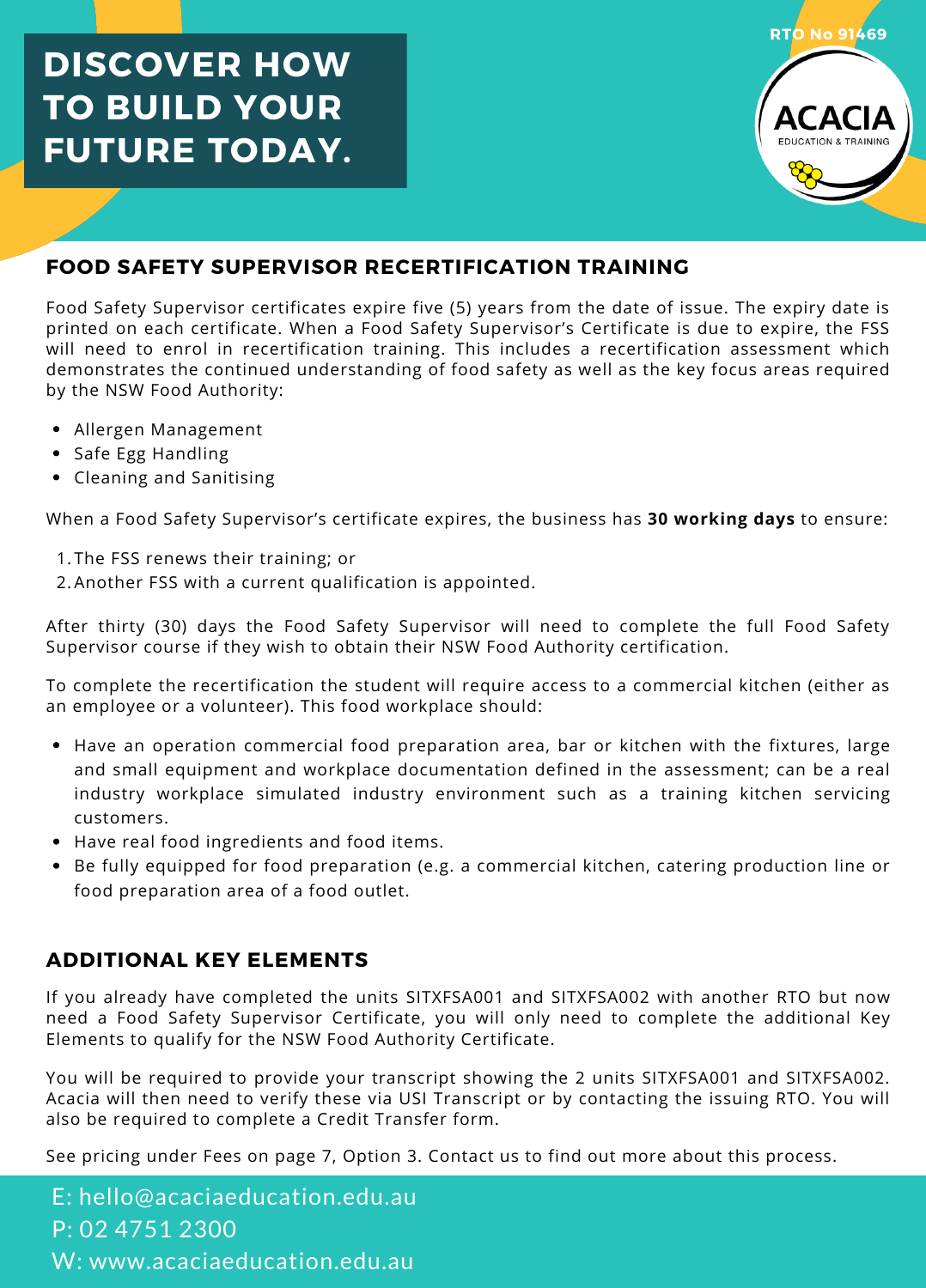# **DISCOVER HOW TO BUILD YOUR FUTURE TODAY.**



### **FOOD SAFETY SUPERVISOR RECERTIFICATION TRAINING**

Food Safety Supervisor certificates expire five (5) years from the date of issue. The expiry date is printed on each certificate. When a Food Safety Supervisor's Certificate is due to expire, the FSS will need to enrol in recertification training. This includes a recertification assessment which demonstrates the continued understanding of food safety as well as the key focus areas required by the NSW Food Authority:

- Allergen Management
- Safe Egg Handling
- Cleaning and Sanitising

When a Food Safety Supervisor's certificate expires, the business has **30 working days** to ensure:

- 1.The FSS renews their training; or
- 2.Another FSS with a current qualification is appointed.

After thirty (30) days the Food Safety Supervisor will need to complete the full Food Safety Supervisor course if they wish to obtain their NSW Food Authority certification.

To complete the recertification the student will require access to a commercial kitchen (either as an employee or a volunteer). This food workplace should:

- Have an operation commercial food preparation area, bar or kitchen with the fixtures, large and small equipment and workplace documentation defined in the assessment; can be a real industry workplace simulated industry environment such as a training kitchen servicing customers.
- Have real food ingredients and food items.
- Be fully equipped for food preparation (e.g. a commercial kitchen, catering production line or food preparation area of a food outlet.

### **ADDITIONAL KEY ELEMENTS**

If you already have completed the units SITXFSA001 and SITXFSA002 with another RTO but now need a Food Safety Supervisor Certificate, you will only need to complete the additional Key Elements to qualify for the NSW Food Authority Certificate.

You will be required to provide your transcript showing the 2 units SITXFSA001 and SITXFSA002. Acacia will then need to verify these via USI Transcript or by contacting the issuing RTO. You will also be required to complete a Credit Transfer form.

See pricing under Fees on page 7, Option 3. Contact us to find out more about this process.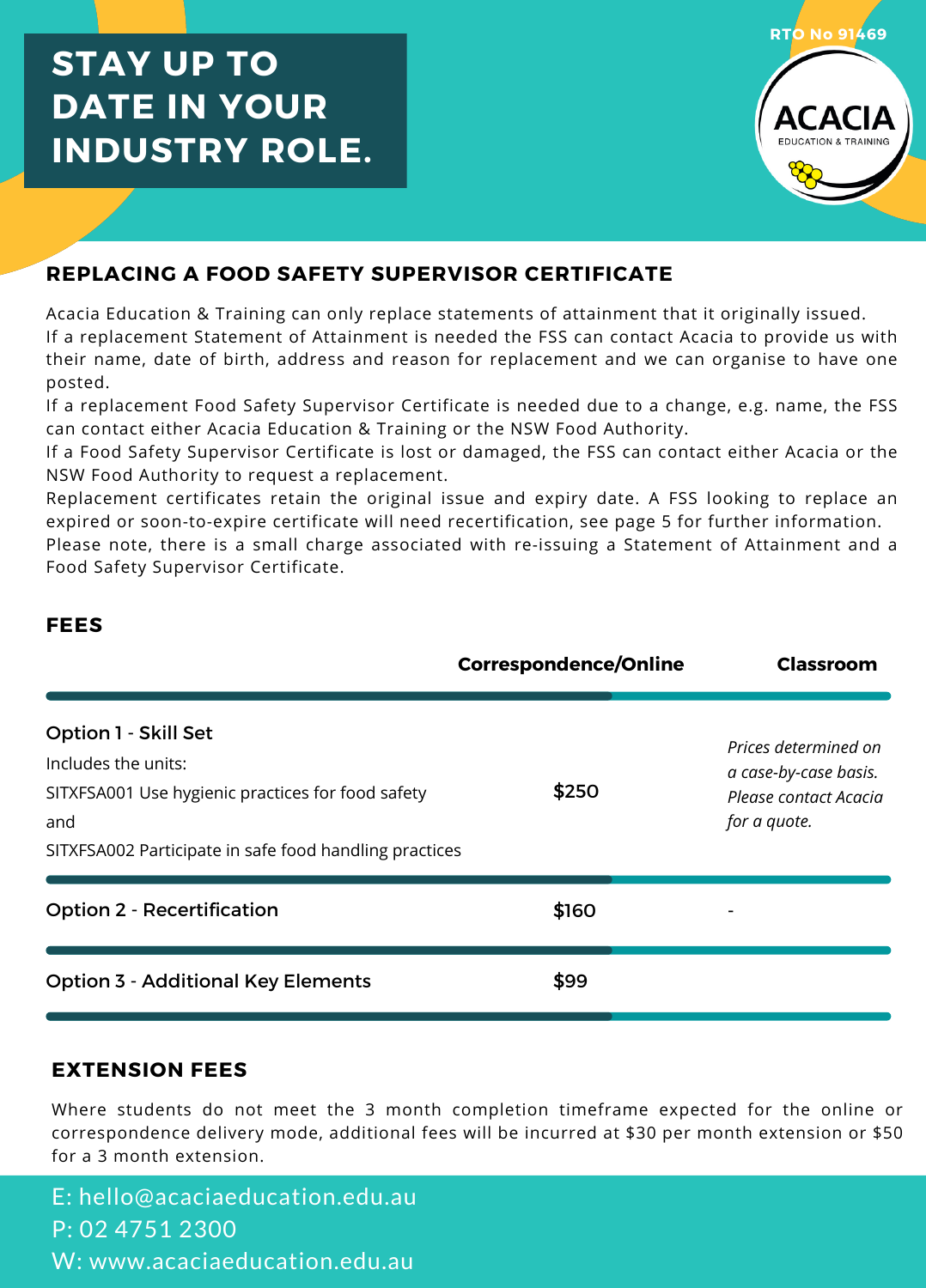# **STAY UP TO DATE IN YOUR INDUSTRY ROLE.**



## **REPLACING A FOOD SAFETY SUPERVISOR CERTIFICATE**

Acacia Education & Training can only replace statements of attainment that it originally issued. If a replacement Statement of Attainment is needed the FSS can contact Acacia to provide us with their name, date of birth, address and reason for replacement and we can organise to have one posted.

If a replacement Food Safety Supervisor Certificate is needed due to a change, e.g. name, the FSS can contact either Acacia Education & Training or the NSW Food Authority.

If a Food Safety Supervisor Certificate is lost or damaged, the FSS can contact either Acacia or the NSW Food Authority to request a replacement.

Replacement certificates retain the original issue and expiry date. A FSS looking to replace an expired or soon-to-expire certificate will need recertification, see page 5 for further information.

Please note, there is a small charge associated with re-issuing a Statement of Attainment and a Food Safety Supervisor Certificate.

#### **FEES**

|                                                                                                                                                                   | <b>Correspondence/Online</b> | Classroom                                                                              |
|-------------------------------------------------------------------------------------------------------------------------------------------------------------------|------------------------------|----------------------------------------------------------------------------------------|
| Option 1 - Skill Set<br>Includes the units:<br>SITXFSA001 Use hygienic practices for food safety<br>and<br>SITXFSA002 Participate in safe food handling practices | \$250                        | Prices determined on<br>a case-by-case basis.<br>Please contact Acacia<br>for a quote. |
| <b>Option 2 - Recertification</b>                                                                                                                                 | \$160                        |                                                                                        |
| <b>Option 3 - Additional Key Elements</b>                                                                                                                         | \$99                         |                                                                                        |

#### **EXTENSION FEES**

Where students do not meet the 3 month completion timeframe expected for the online or correspondence delivery mode, additional fees will be incurred at \$30 per month extension or \$50 for a 3 month extension.